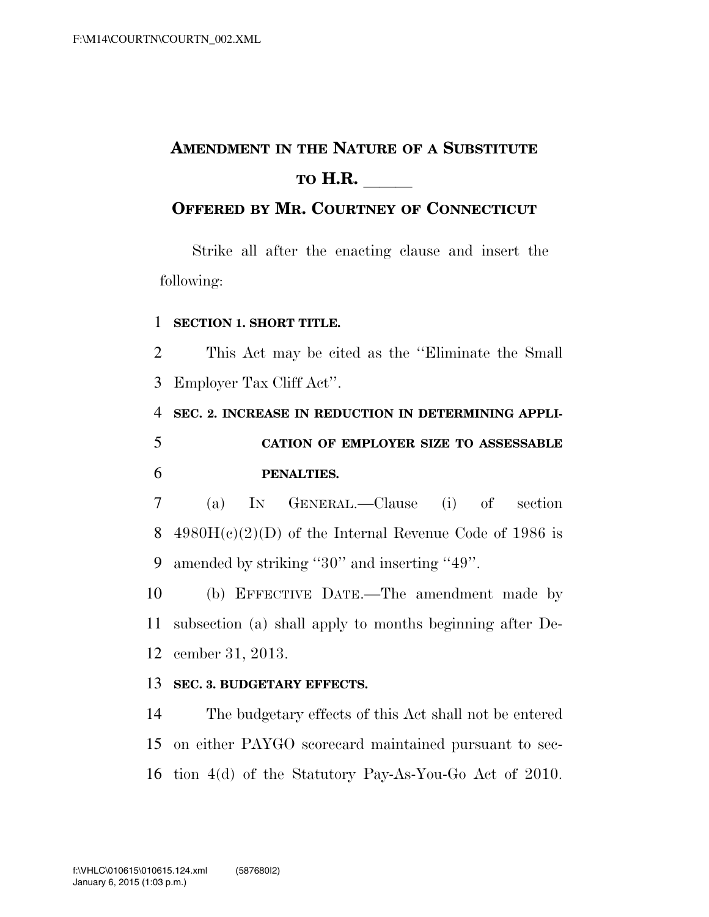## **AMENDMENT IN THE NATURE OF A SUBSTITUTE TO H.R.**

## **OFFERED BY MR. COURTNEY OF CONNECTICUT**

Strike all after the enacting clause and insert the following:

## **SECTION 1. SHORT TITLE.**

 This Act may be cited as the ''Eliminate the Small Employer Tax Cliff Act''.

 **SEC. 2. INCREASE IN REDUCTION IN DETERMINING APPLI- CATION OF EMPLOYER SIZE TO ASSESSABLE PENALTIES.** 

 (a) IN GENERAL.—Clause (i) of section 8 4980 $H(c)(2)(D)$  of the Internal Revenue Code of 1986 is amended by striking ''30'' and inserting ''49''.

 (b) EFFECTIVE DATE.—The amendment made by subsection (a) shall apply to months beginning after De-cember 31, 2013.

## **SEC. 3. BUDGETARY EFFECTS.**

 The budgetary effects of this Act shall not be entered on either PAYGO scorecard maintained pursuant to sec-tion 4(d) of the Statutory Pay-As-You-Go Act of 2010.